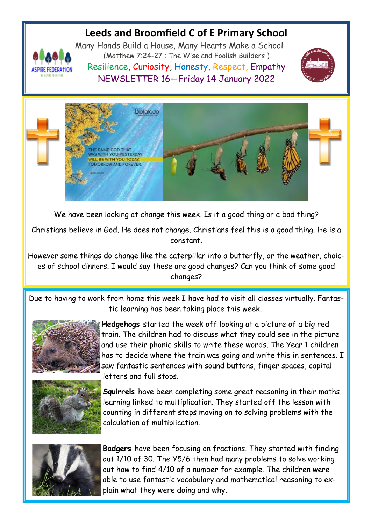# **Leeds and Broomfield C of E Primary School**



Many Hands Build a House, Many Hearts Make a School (Matthew 7:24-27 : The Wise and Foolish Builders ) Resilience, Curiosity, Honesty, Respect, Empathy NEWSLETTER 16—Friday 14 January 2022





We have been looking at change this week. Is it a good thing or a bad thing?

Christians believe in God. He does not change. Christians feel this is a good thing. He is a constant.

However some things do change like the caterpillar into a butterfly, or the weather, choices of school dinners. I would say these are good changes? Can you think of some good changes?

Due to having to work from home this week I have had to visit all classes virtually. Fantastic learning has been taking place this week.



**Hedgehogs** started the week off looking at a picture of a big red train. The children had to discuss what they could see in the picture and use their phonic skills to write these words. The Year 1 children has to decide where the train was going and write this in sentences. I saw fantastic sentences with sound buttons, finger spaces, capital letters and full stops.



**Squirrels** have been completing some great reasoning in their maths learning linked to multiplication. They started off the lesson with counting in different steps moving on to solving problems with the calculation of multiplication.



**Badgers** have been focusing on fractions. They started with finding out 1/10 of 30. The Y5/6 then had many problems to solve working out how to find 4/10 of a number for example. The children were able to use fantastic vocabulary and mathematical reasoning to explain what they were doing and why.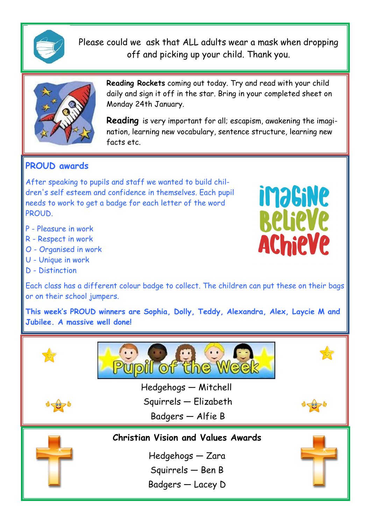

Please could we ask that ALL adults wear a mask when dropping off and picking up your child. Thank you.



**Reading Rockets** coming out today. Try and read with your child daily and sign it off in the star. Bring in your completed sheet on Monday 24th January.

**Reading** is very important for all; escapism, awakening the imagination, learning new vocabulary, sentence structure, learning new facts etc.

**imagine** 

**BelieVe** 

**AChieVe** 

# **PROUD awards**

After speaking to pupils and staff we wanted to build children's self esteem and confidence in themselves. Each pupil needs to work to get a badge for each letter of the word PROUD.

- P Pleasure in work
- R Respect in work
- O Organised in work
- U Unique in work
- D Distinction



**This week's PROUD winners are Sophia, Dolly, Teddy, Alexandra, Alex, Laycie M and Jubilee. A massive well done!**

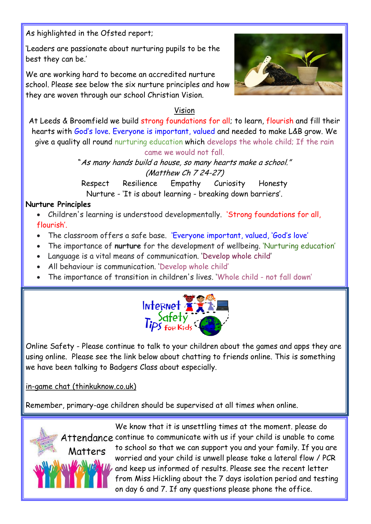As highlighted in the Ofsted report;

'Leaders are passionate about nurturing pupils to be the best they can be.'

We are working hard to become an accredited nurture school. Please see below the six nurture principles and how they are woven through our school Christian Vision.



### Vision

At Leeds & Broomfield we build strong foundations for all; to learn, flourish and fill their hearts with God's love. Everyone is important, valued and needed to make L&B grow. We give a quality all round nurturing education which develops the whole child; If the rain came we would not fall.

> "As many hands build a house, so many hearts make a school." (Matthew Ch 7 24-27)

Respect Resilience Empathy Curiosity Honesty Nurture - 'It is about learning - breaking down barriers'.

#### **Nurture Principles**

- Children's learning is understood developmentally. 'Strong foundations for all, flourish'.
- The classroom offers a safe base. 'Everyone important, valued, 'God's love'
- The importance of **nurture** for the development of wellbeing. 'Nurturing education'
- Language is a vital means of communication. 'Develop whole child'
- All behaviour is communication. 'Develop whole child'
- The importance of transition in children's lives. 'Whole child not fall down'



Online Safety - Please continue to talk to your children about the games and apps they are using online. Please see the link below about chatting to friends online. This is something we have been talking to Badgers Class about especially.

[in-game chat \(thinkuknow.co.uk\)](https://www.thinkuknow.co.uk/parents/articles/in-game-chat/)

Remember, primary-age children should be supervised at all times when online.



We know that it is unsettling times at the moment. please do Attendance continue to communicate with us if your child is unable to come to school so that we can support you and your family. If you are worried and your child is unwell please take a lateral flow / PCR and keep us informed of results. Please see the recent letter from Miss Hickling about the 7 days isolation period and testing on day 6 and 7. If any questions please phone the office.